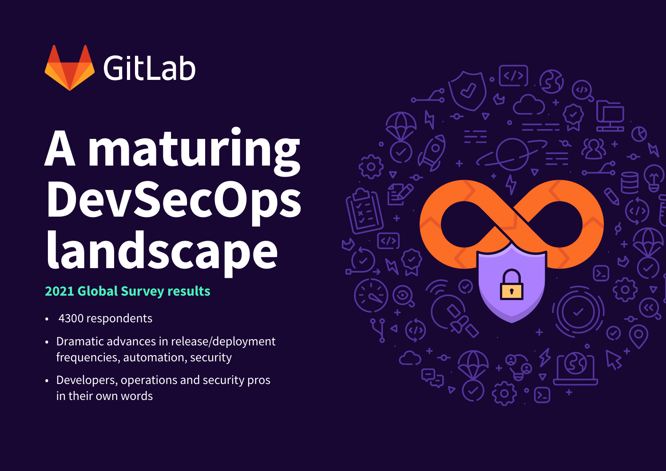

# **A maturing DevSecOps landscape**

# **2021 Global Survey results**

- 4300 respondents •
- Dramatic advances in release/deployment frequencies, automation, security
- Developers, operations and security pros •in their own words

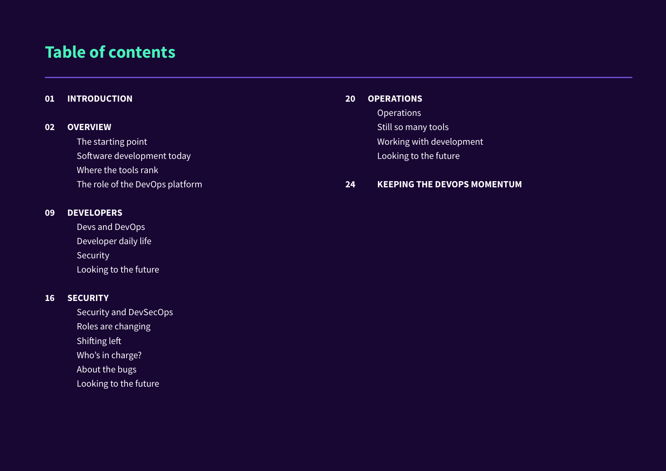# **Table of contents**

#### **[INTRODUCTION](#page-2-0) 01**

#### **[OVERVIEW](#page-3-0) 02**

The starting point

Software development today

Where the tools rank

The role of the DevOps platform

#### **[DEVELOPERS](#page-10-0) 09**

Devs and DevOps Developer daily life Security Looking to the future

#### **[SECURITY](#page-17-0) 16**

Security and DevSecOps Roles are changing Shifting left Who's in charge? About the bugs Looking to the future

#### **[OPERATIONS](#page-21-0) 20**

**Operations** Still so many tools Working with development Looking to the future

#### **KEEPING THE DEVOPS MOMENTUM 24**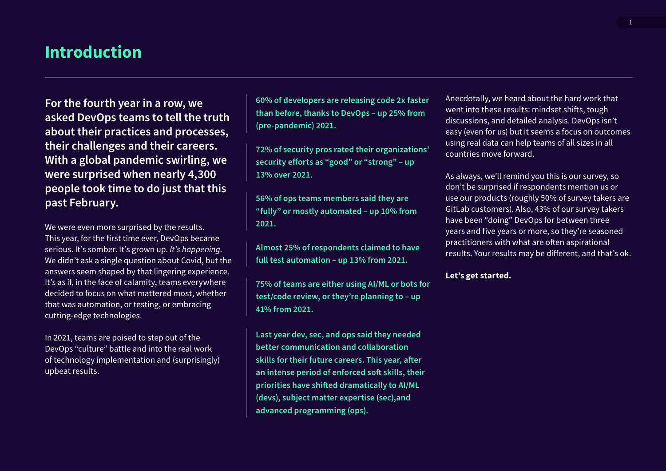# <span id="page-2-0"></span>**Introduction**

**For the fourth year in a row, we asked DevOps teams to tell the truth about their practices and processes, their challenges and their careers. With a global pandemic swirling, we were surprised when nearly 4,300 people took time to do just that this past February.**

We were even more surprised by the results. This year, for the first time ever, DevOps became serious. It's somber. It's grown up. *It's happening*. We didn't ask a single question about Covid, but the answers seem shaped by that lingering experience. It's as if, in the face of calamity, teams everywhere decided to focus on what mattered most, whether that was automation, or testing, or embracing cutting-edge technologies.

In 2021, teams are poised to step out of the DevOps "culture" battle and into the real work of technology implementation and (surprisingly) upbeat results.

**60% of developers are releasing code 2x faster than before, thanks to DevOps – up 25% from (pre-pandemic) 2021.**

**72% of security pros rated their organizations' security efforts as "good" or "strong" – up 13% over 2021.**

**56% of ops teams members said they are "fully" or mostly automated – up 10% from 2021.**

**Almost 25% of respondents claimed to have full test automation – up 13% from 2021.**

**75% of teams are either using AI/ML or bots for test/code review, or they're planning to – up 41% from 2021.**

**Last year dev, sec, and ops said they needed better communication and collaboration skills for their future careers. This year, after an intense period of enforced soft skills, their priorities have shifted dramatically to AI/ML (devs), subject matter expertise (sec),and advanced programming (ops).** 

Anecdotally, we heard about the hard work that went into these results: mindset shifts, tough discussions, and detailed analysis. DevOps isn't easy (even for us) but it seems a focus on outcomes using real data can help teams of all sizes in all countries move forward.

As always, we'll remind you this is our survey, so don't be surprised if respondents mention us or use our products (roughly 50% of survey takers are GitLab customers). Also, 43% of our survey takers have been "doing" DevOps for between three years and five years or more, so they're seasoned practitioners with what are often aspirational results. Your results may be different, and that's ok.

#### **Let's get started.**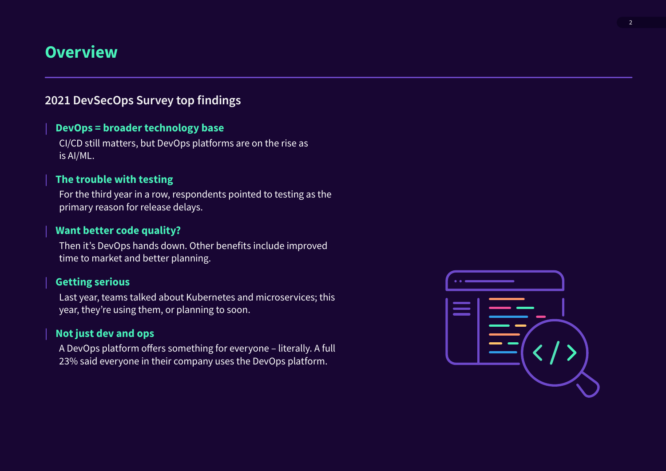# <span id="page-3-0"></span>**Overview**

# **2021 DevSecOps Survey top findings**

# **DevOps = broader technology base**

CI/CD still matters, but DevOps platforms are on the rise as is AI/ML.

# **The trouble with testing**

For the third year in a row, respondents pointed to testing as the primary reason for release delays.

## **Want better code quality?**

Then it's DevOps hands down. Other benefits include improved time to market and better planning.

# **Getting serious**

Last year, teams talked about Kubernetes and microservices; this year, they're using them, or planning to soon.

# **Not just dev and ops**

A DevOps platform offers something for everyone – literally. A full 23% said everyone in their company uses the DevOps platform.

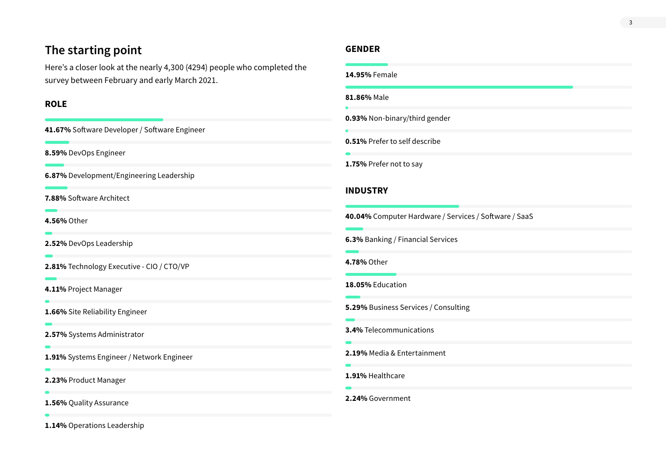# **The starting point**

Here's a closer look at the nearly 4,300 (4294) people who completed the survey between February and early March 2021.

## **ROLE**

**41.67%** Software Developer / Software Engineer

**8.59%** DevOps Engineer

**6.87%** Development/Engineering Leadership

**7.88%** Software Architect

**4.56%** Other

 $\blacksquare$ 

 $\bullet$ 

**2.52%** DevOps Leadership

**2.81%** Technology Executive - CIO / CTO/VP

**4.11%** Project Manager

**1.66%** Site Reliability Engineer

**2.57%** Systems Administrator

**1.91%** Systems Engineer / Network Engineer

**2.23%** Product Manager

**1.56%** Quality Assurance

**1.14%** Operations Leadership

# **GENDER**

| 14.95% Female                                         |  |
|-------------------------------------------------------|--|
| 81.86% Male                                           |  |
| 0.93% Non-binary/third gender                         |  |
| 0.51% Prefer to self describe                         |  |
| 1.75% Prefer not to say                               |  |
| <b>INDUSTRY</b>                                       |  |
| 40.04% Computer Hardware / Services / Software / SaaS |  |
| 6.3% Banking / Financial Services                     |  |
| 4.78% Other                                           |  |
| 18.05% Education                                      |  |
| 5.29% Business Services / Consulting                  |  |
| 3.4% Telecommunications                               |  |
| 2.19% Media & Entertainment                           |  |
| 1.91% Healthcare                                      |  |
| 2.24% Government                                      |  |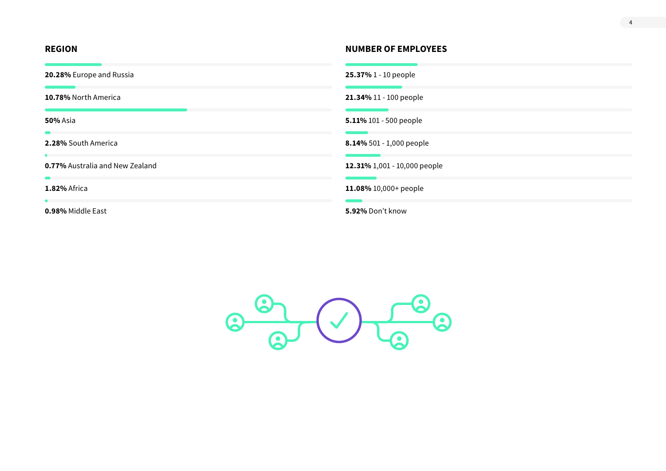**20.28%** Europe and Russia **25.37%** 1 - 10 people

**0.77%** Australia and New Zealand **12.31%** 1,001 - 10,000 people

 $\sim$ 

 $\sim$ 

## **REGION NUMBER OF EMPLOYEES**

**10.78%** North America **21.34%** 11 - 100 people

**50%** Asia **5.11%** 101 - 500 people

**2.28%** South America **8.14%** 501 - 1,000 people

**1.82%** Africa **11.08%** 10,000+ people

**0.98%** Middle East **5.92%** Don't know

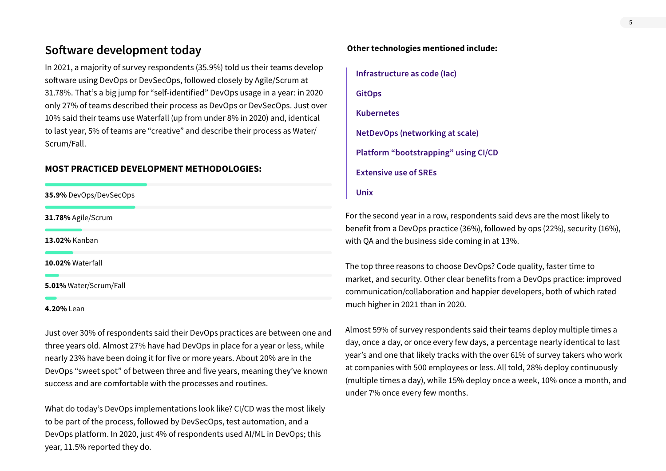# **Software development today**

In 2021, a majority of survey respondents (35.9%) told us their teams develop software using DevOps or DevSecOps, followed closely by Agile/Scrum at 31.78%. That's a big jump for "self-identified" DevOps usage in a year: in 2020 only 27% of teams described their process as DevOps or DevSecOps. Just over 10% said their teams use Waterfall (up from under 8% in 2020) and, identical to last year, 5% of teams are "creative" and describe their process as Water/ Scrum/Fall.

#### **MOST PRACTICED DEVELOPMENT METHODOLOGIES:**

**35.9%** DevOps/DevSecOps

**31.78%** Agile/Scrum

**13.02%** Kanban

**10.02%** Waterfall

**5.01%** Water/Scrum/Fall

#### **4.20%** Lean

Just over 30% of respondents said their DevOps practices are between one and three years old. Almost 27% have had DevOps in place for a year or less, while nearly 23% have been doing it for five or more years. About 20% are in the DevOps "sweet spot" of between three and five years, meaning they've known success and are comfortable with the processes and routines.

What do today's DevOps implementations look like? CI/CD was the most likely to be part of the process, followed by DevSecOps, test automation, and a DevOps platform. In 2020, just 4% of respondents used AI/ML in DevOps; this year, 11.5% reported they do.

#### **Other technologies mentioned include:**

```
Infrastructure as code (Iac)
GitOps
Kubernetes
NetDevOps (networking at scale)
Platform "bootstrapping" using CI/CD
Extensive use of SREs
Unix
```
For the second year in a row, respondents said devs are the most likely to benefit from a DevOps practice (36%), followed by ops (22%), security (16%), with QA and the business side coming in at 13%.

The top three reasons to choose DevOps? Code quality, faster time to market, and security. Other clear benefits from a DevOps practice: improved communication/collaboration and happier developers, both of which rated much higher in 2021 than in 2020.

Almost 59% of survey respondents said their teams deploy multiple times a day, once a day, or once every few days, a percentage nearly identical to last year's and one that likely tracks with the over 61% of survey takers who work at companies with 500 employees or less. All told, 28% deploy continuously (multiple times a day), while 15% deploy once a week, 10% once a month, and under 7% once every few months.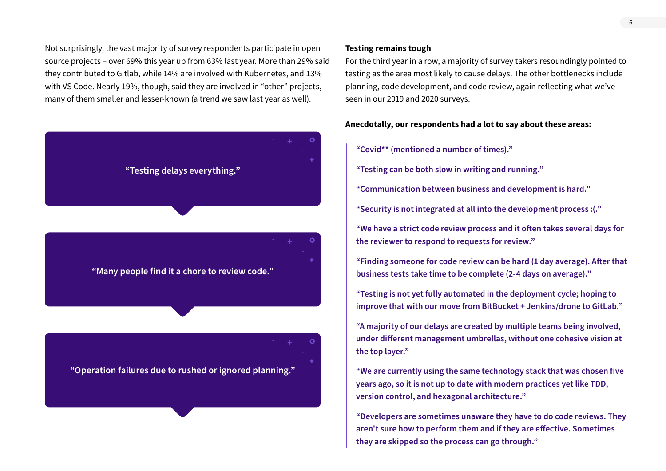Not surprisingly, the vast majority of survey respondents participate in open source projects – over 69% this year up from 63% last year. More than 29% said they contributed to Gitlab, while 14% are involved with Kubernetes, and 13% with VS Code. Nearly 19%, though, said they are involved in "other" projects, many of them smaller and lesser-known (a trend we saw last year as well).



#### **Testing remains tough**

For the third year in a row, a majority of survey takers resoundingly pointed to testing as the area most likely to cause delays. The other bottlenecks include planning, code development, and code review, again reflecting what we've seen in our 2019 and 2020 surveys.

#### **Anecdotally, our respondents had a lot to say about these areas:**

- **"Covid\*\* (mentioned a number of times)."**
- **"Testing can be both slow in writing and running."**
- **"Communication between business and development is hard."**
- **"Security is not integrated at all into the development process :(."**
- **"We have a strict code review process and it often takes several days for the reviewer to respond to requests for review."**
- **"Finding someone for code review can be hard (1 day average). After that business tests take time to be complete (2-4 days on average)."**
- **"Testing is not yet fully automated in the deployment cycle; hoping to improve that with our move from BitBucket + Jenkins/drone to GitLab."**
- **"A majority of our delays are created by multiple teams being involved, under different management umbrellas, without one cohesive vision at the top layer."**
- **"We are currently using the same technology stack that was chosen five years ago, so it is not up to date with modern practices yet like TDD, version control, and hexagonal architecture."**
- **"Developers are sometimes unaware they have to do code reviews. They aren't sure how to perform them and if they are effective. Sometimes they are skipped so the process can go through."**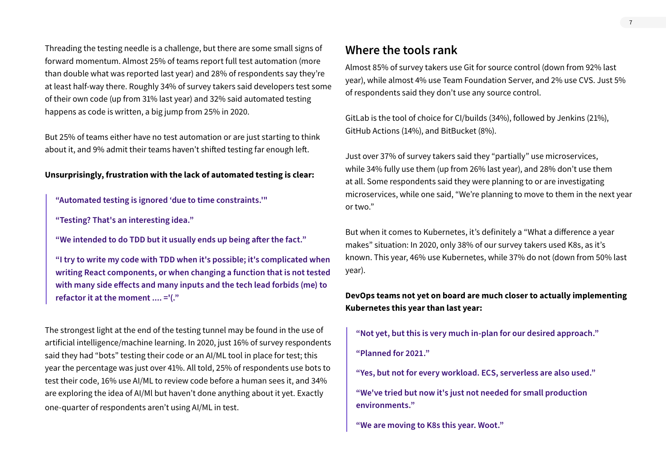Threading the testing needle is a challenge, but there are some small signs of forward momentum. Almost 25% of teams report full test automation (more than double what was reported last year) and 28% of respondents say they're at least half-way there. Roughly 34% of survey takers said developers test some of their own code (up from 31% last year) and 32% said automated testing happens as code is written, a big jump from 25% in 2020.

But 25% of teams either have no test automation or are just starting to think about it, and 9% admit their teams haven't shifted testing far enough left.

#### **Unsurprisingly, frustration with the lack of automated testing is clear:**

**"Automated testing is ignored 'due to time constraints.'"**

**"Testing? That's an interesting idea."**

**"We intended to do TDD but it usually ends up being after the fact."**

**"I try to write my code with TDD when it's possible; it's complicated when writing React components, or when changing a function that is not tested with many side effects and many inputs and the tech lead forbids (me) to refactor it at the moment .... ='(."**

The strongest light at the end of the testing tunnel may be found in the use of artificial intelligence/machine learning. In 2020, just 16% of survey respondents said they had "bots" testing their code or an AI/ML tool in place for test; this year the percentage was just over 41%. All told, 25% of respondents use bots to test their code, 16% use AI/ML to review code before a human sees it, and 34% are exploring the idea of AI/Ml but haven't done anything about it yet. Exactly one-quarter of respondents aren't using AI/ML in test.

# **Where the tools rank**

Almost 85% of survey takers use Git for source control (down from 92% last year), while almost 4% use Team Foundation Server, and 2% use CVS. Just 5% of respondents said they don't use any source control.

GitLab is the tool of choice for CI/builds (34%), followed by Jenkins (21%), GitHub Actions (14%), and BitBucket (8%).

Just over 37% of survey takers said they "partially" use microservices, while 34% fully use them (up from 26% last year), and 28% don't use them at all. Some respondents said they were planning to or are investigating microservices, while one said, "We're planning to move to them in the next year or two."

But when it comes to Kubernetes, it's definitely a "What a difference a year makes" situation: In 2020, only 38% of our survey takers used K8s, as it's known. This year, 46% use Kubernetes, while 37% do not (down from 50% last year).

**DevOps teams not yet on board are much closer to actually implementing Kubernetes this year than last year:**

**"Not yet, but this is very much in-plan for our desired approach."**

**"Planned for 2021."**

**"Yes, but not for every workload. ECS, serverless are also used."**

**"We've tried but now it's just not needed for small production environments."**

**"We are moving to K8s this year. Woot."**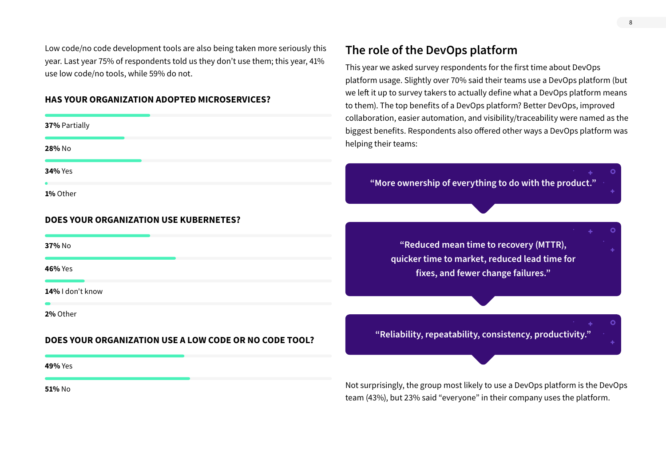Low code/no code development tools are also being taken more seriously this year. Last year 75% of respondents told us they don't use them; this year, 41% use low code/no tools, while 59% do not.

#### **HAS YOUR ORGANIZATION ADOPTED MICROSERVICES?**

| 37% Partially  |  |  |
|----------------|--|--|
| 28% No         |  |  |
| <b>34% Yes</b> |  |  |
| 1% Other       |  |  |

## **DOES YOUR ORGANIZATION USE KUBERNETES?**

**37%** No

**46%** Yes

**14%** I don't know

**2%** Other

#### **DOES YOUR ORGANIZATION USE A LOW CODE OR NO CODE TOOL?**

**49%** Yes

**51%** No

# **The role of the DevOps platform**

This year we asked survey respondents for the first time about DevOps platform usage. Slightly over 70% said their teams use a DevOps platform (but we left it up to survey takers to actually define what a DevOps platform means to them). The top benefits of a DevOps platform? Better DevOps, improved collaboration, easier automation, and visibility/traceability were named as the biggest benefits. Respondents also offered other ways a DevOps platform was helping their teams:

**"More ownership of everything to do with the product."**

**"Reduced mean time to recovery (MTTR), quicker time to market, reduced lead time for fixes, and fewer change failures."**

**"Reliability, repeatability, consistency, productivity."**

Not surprisingly, the group most likely to use a DevOps platform is the DevOps team (43%), but 23% said "everyone" in their company uses the platform.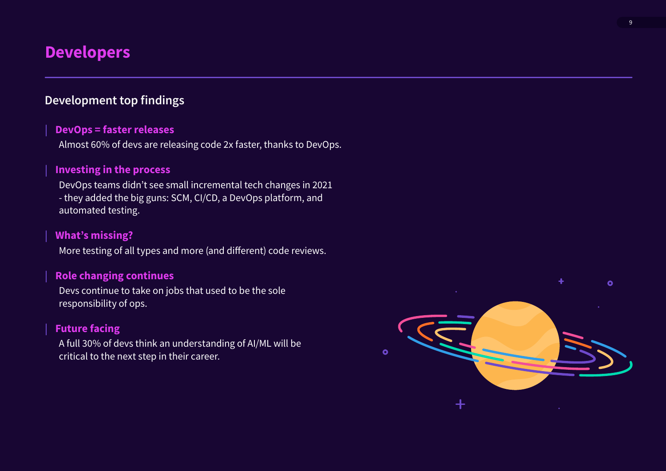# <span id="page-10-0"></span>**Developers**

# **Development top findings**

# **DevOps = faster releases**

Almost 60% of devs are releasing code 2x faster, thanks to DevOps.

# **Investing in the process**

DevOps teams didn't see small incremental tech changes in 2021 - they added the big guns: SCM, CI/CD, a DevOps platform, and automated testing.

# **What's missing?**

More testing of all types and more (and different) code reviews.

# **Role changing continues**

Devs continue to take on jobs that used to be the sole responsibility of ops.

# **Future facing**

A full 30% of devs think an understanding of AI/ML will be critical to the next step in their career.

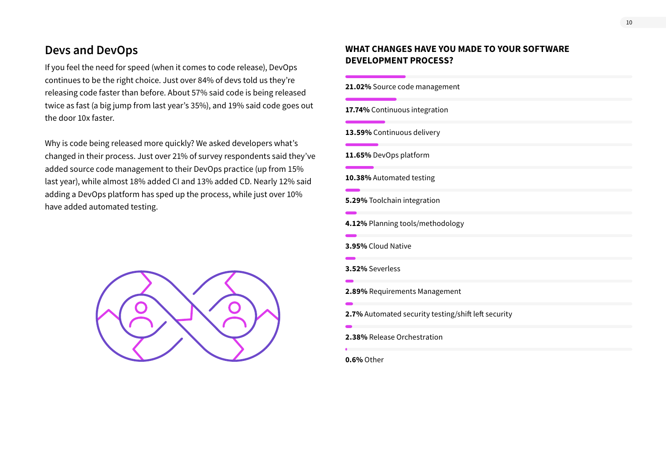# **Devs and DevOps**

If you feel the need for speed (when it comes to code release), DevOps continues to be the right choice. Just over 84% of devs told us they're releasing code faster than before. About 57% said code is being released twice as fast (a big jump from last year's 35%), and 19% said code goes out the door 10x faster.

Why is code being released more quickly? We asked developers what's changed in their process. Just over 21% of survey respondents said they've added source code management to their DevOps practice (up from 15% last year), while almost 18% added CI and 13% added CD. Nearly 12% said adding a DevOps platform has sped up the process, while just over 10% have added automated testing.



# **WHAT CHANGES HAVE YOU MADE TO YOUR SOFTWARE DEVELOPMENT PROCESS?**

| 21.02% Source code management                       |  |
|-----------------------------------------------------|--|
| 17.74% Continuous integration                       |  |
| 13.59% Continuous delivery                          |  |
| 11.65% DevOps platform                              |  |
| 10.38% Automated testing                            |  |
| 5.29% Toolchain integration                         |  |
| 4.12% Planning tools/methodology                    |  |
| 3.95% Cloud Native                                  |  |
| 3.52% Severless                                     |  |
| 2.89% Requirements Management                       |  |
| 2.7% Automated security testing/shift left security |  |
| 2.38% Release Orchestration                         |  |
| <b>0.6% Other</b>                                   |  |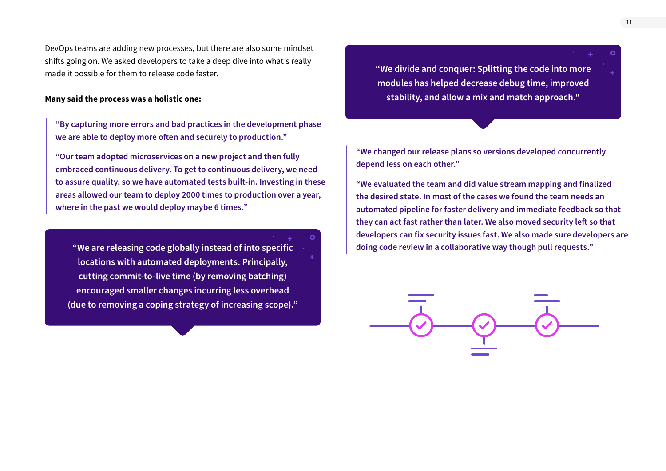DevOps teams are adding new processes, but there are also some mindset shifts going on. We asked developers to take a deep dive into what's really made it possible for them to release code faster.

#### **Many said the process was a holistic one:**

**"By capturing more errors and bad practices in the development phase we are able to deploy more often and securely to production."**

**"Our team adopted microservices on a new project and then fully embraced continuous delivery. To get to continuous delivery, we need to assure quality, so we have automated tests built-in. Investing in these areas allowed our team to deploy 2000 times to production over a year, where in the past we would deploy maybe 6 times."**

**locations with automated deployments. Principally, cutting commit-to-live time (by removing batching) encouraged smaller changes incurring less overhead (due to removing a coping strategy of increasing scope)."** **"We divide and conquer: Splitting the code into more modules has helped decrease debug time, improved stability, and allow a mix and match approach."**

**"We changed our release plans so versions developed concurrently depend less on each other."**

**"We evaluated the team and did value stream mapping and finalized the desired state. In most of the cases we found the team needs an automated pipeline for faster delivery and immediate feedback so that they can act fast rather than later. We also moved security left so that developers can fix security issues fast. We also made sure developers are "We are releasing code globally instead of into specific doing code review in a collaborative way though pull requests."**

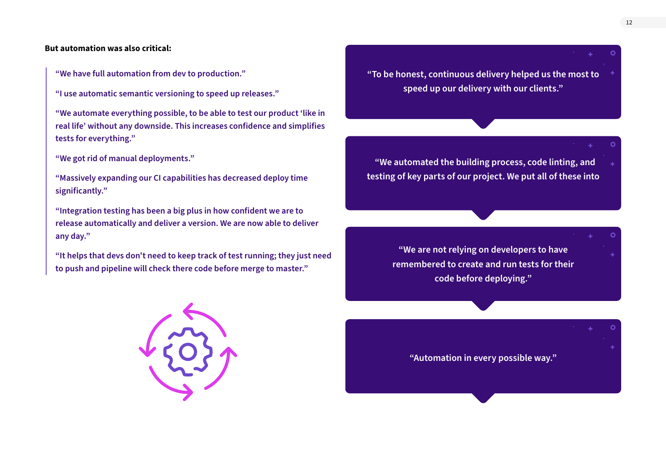#### **But automation was also critical:**

**"We have full automation from dev to production."** 

**"I use automatic semantic versioning to speed up releases."**

**"We automate everything possible, to be able to test our product 'like in real life' without any downside. This increases confidence and simplifies tests for everything."**

**"We got rid of manual deployments."**

**"Massively expanding our CI capabilities has decreased deploy time significantly."**

**"Integration testing has been a big plus in how confident we are to release automatically and deliver a version. We are now able to deliver any day."**

**"It helps that devs don't need to keep track of test running; they just need to push and pipeline will check there code before merge to master."**



**"To be honest, continuous delivery helped us the most to speed up our delivery with our clients."**

 **"We automated the building process, code linting, and testing of key parts of our project. We put all of these into** 

> **"We are not relying on developers to have remembered to create and run tests for their code before deploying."**

**"Automation in every possible way."**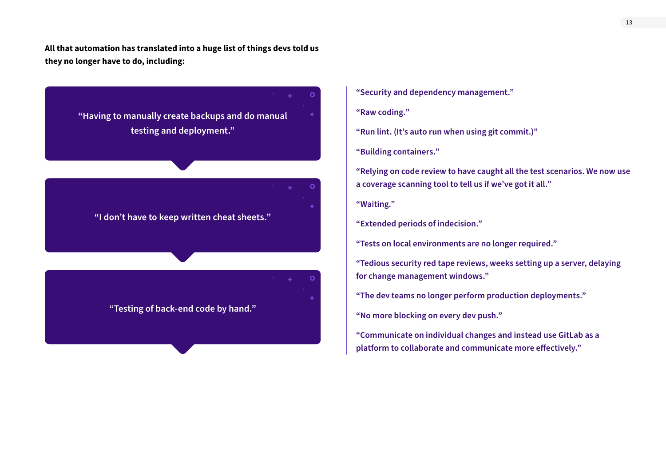**All that automation has translated into a huge list of things devs told us they no longer have to do, including:**



- **"Security and dependency management."**
- **"Raw coding."**
- **"Run lint. (It's auto run when using git commit.)"**
- **"Building containers."**
- **"Relying on code review to have caught all the test scenarios. We now use a coverage scanning tool to tell us if we've got it all."**
- **"Waiting."**
- **"Extended periods of indecision."**
- **"Tests on local environments are no longer required."**
- **"Tedious security red tape reviews, weeks setting up a server, delaying for change management windows."**
- **"The dev teams no longer perform production deployments."**
- **"No more blocking on every dev push."**
- **"Communicate on individual changes and instead use GitLab as a platform to collaborate and communicate more effectively."**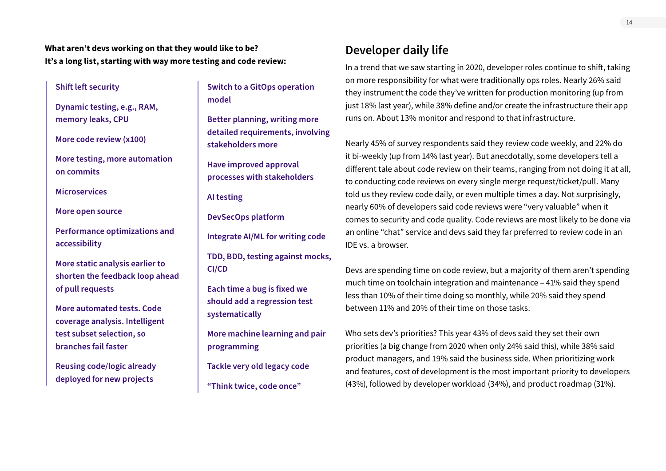**What aren't devs working on that they would like to be? It's a long list, starting with way more testing and code review:**

#### **Shift left security**

**Dynamic testing, e.g., RAM, memory leaks, CPU**

**More code review (x100)**

**More testing, more automation on commits**

**Microservices**

**More open source**

**Performance optimizations and accessibility**

**More static analysis earlier to shorten the feedback loop ahead of pull requests**

**More automated tests. Code coverage analysis. Intelligent test subset selection, so branches fail faster**

**Reusing code/logic already deployed for new projects**

**Switch to a GitOps operation model**

**Better planning, writing more detailed requirements, involving stakeholders more** 

**Have improved approval processes with stakeholders**

**AI testing**

**DevSecOps platform**

**Integrate AI/ML for writing code**

**TDD, BDD, testing against mocks, CI/CD**

**Each time a bug is fixed we should add a regression test systematically**

**More machine learning and pair programming**

**Tackle very old legacy code**

**"Think twice, code once"**

# **Developer daily life**

In a trend that we saw starting in 2020, developer roles continue to shift, taking on more responsibility for what were traditionally ops roles. Nearly 26% said they instrument the code they've written for production monitoring (up from just 18% last year), while 38% define and/or create the infrastructure their app runs on. About 13% monitor and respond to that infrastructure.

Nearly 45% of survey respondents said they review code weekly, and 22% do it bi-weekly (up from 14% last year). But anecdotally, some developers tell a different tale about code review on their teams, ranging from not doing it at all, to conducting code reviews on every single merge request/ticket/pull. Many told us they review code daily, or even multiple times a day. Not surprisingly, nearly 60% of developers said code reviews were "very valuable" when it comes to security and code quality. Code reviews are most likely to be done via an online "chat" service and devs said they far preferred to review code in an IDE vs. a browser.

Devs are spending time on code review, but a majority of them aren't spending much time on toolchain integration and maintenance – 41% said they spend less than 10% of their time doing so monthly, while 20% said they spend between 11% and 20% of their time on those tasks.

Who sets dev's priorities? This year 43% of devs said they set their own priorities (a big change from 2020 when only 24% said this), while 38% said product managers, and 19% said the business side. When prioritizing work and features, cost of development is the most important priority to developers (43%), followed by developer workload (34%), and product roadmap (31%).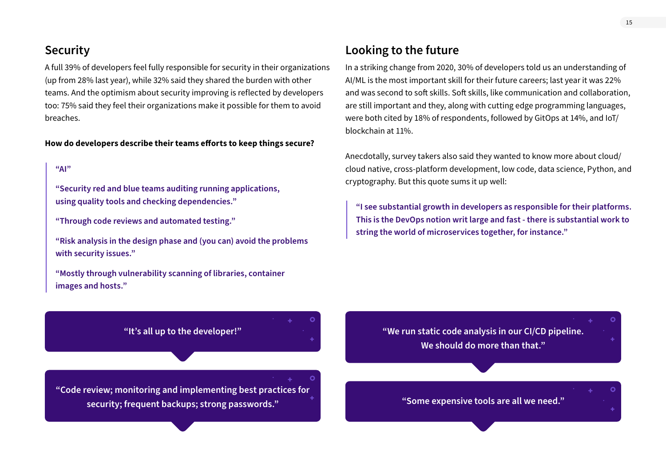# **Security**

A full 39% of developers feel fully responsible for security in their organizations (up from 28% last year), while 32% said they shared the burden with other teams. And the optimism about security improving is reflected by developers too: 75% said they feel their organizations make it possible for them to avoid breaches.

#### **How do developers describe their teams efforts to keep things secure?**

# **"AI"**

**"Security red and blue teams auditing running applications, using quality tools and checking dependencies."**

**"Through code reviews and automated testing."**

**"Risk analysis in the design phase and (you can) avoid the problems with security issues."**

**"It's all up to the developer!"**

**"Code review; monitoring and implementing best practices for security; frequent backups; strong passwords."**

**"Mostly through vulnerability scanning of libraries, container images and hosts."**

# **Looking to the future**

In a striking change from 2020, 30% of developers told us an understanding of AI/ML is the most important skill for their future careers; last year it was 22% and was second to soft skills. Soft skills, like communication and collaboration, are still important and they, along with cutting edge programming languages, were both cited by 18% of respondents, followed by GitOps at 14%, and IoT/ blockchain at 11%.

Anecdotally, survey takers also said they wanted to know more about cloud/ cloud native, cross-platform development, low code, data science, Python, and cryptography. But this quote sums it up well:

**"I see substantial growth in developers as responsible for their platforms. This is the DevOps notion writ large and fast - there is substantial work to string the world of microservices together, for instance."**

**"We run static code analysis in our CI/CD pipeline. We should do more than that."**

**"Some expensive tools are all we need."**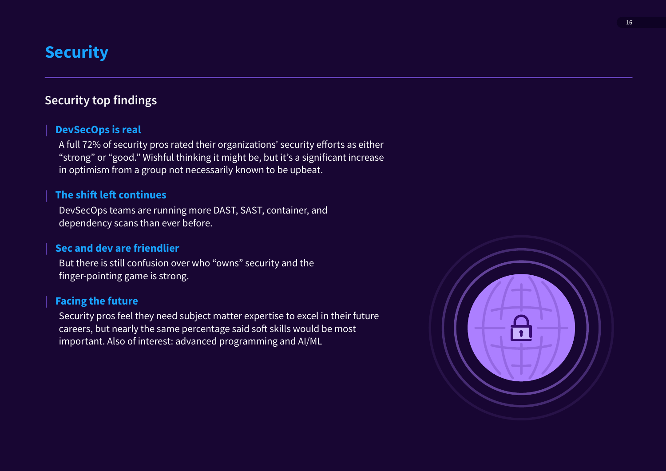# <span id="page-17-0"></span>**Security**

# **Security top findings**

# **DevSecOps is real**

A full 72% of security pros rated their organizations' security efforts as either "strong" or "good." Wishful thinking it might be, but it's a significant increase in optimism from a group not necessarily known to be upbeat.

# **The shift left continues**

DevSecOps teams are running more DAST, SAST, container, and dependency scans than ever before.

# **Sec and dev are friendlier**

But there is still confusion over who "owns" security and the finger-pointing game is strong.

# **Facing the future**

Security pros feel they need subject matter expertise to excel in their future careers, but nearly the same percentage said soft skills would be most important. Also of interest: advanced programming and AI/ML

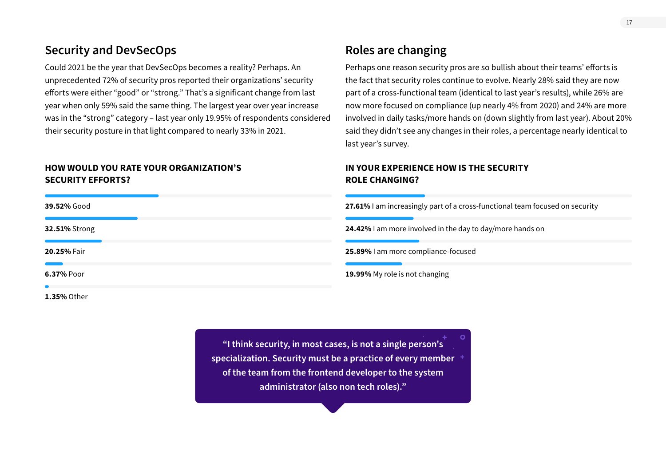# **Security and DevSecOps**

Could 2021 be the year that DevSecOps becomes a reality? Perhaps. An unprecedented 72% of security pros reported their organizations' security efforts were either "good" or "strong." That's a significant change from last year when only 59% said the same thing. The largest year over year increase was in the "strong" category – last year only 19.95% of respondents considered their security posture in that light compared to nearly 33% in 2021.

## **HOW WOULD YOU RATE YOUR ORGANIZATION'S SECURITY EFFORTS?**

**39.52%** Good **27.61%** I am increasingly part of a cross-functional team focused on security **32.51%** Strong **24.42%** I am more involved in the day to day/more hands on **20.25%** Fair **25.89%** I am more compliance-focused **6.37%** Poor **19.99%** My role is not changing **1.35%** Other

> **"I think security, in most cases, is not a single person's specialization. Security must be a practice of every member of the team from the frontend developer to the system administrator (also non tech roles)."**

Perhaps one reason security pros are so bullish about their teams' efforts is the fact that security roles continue to evolve. Nearly 28% said they are now part of a cross-functional team (identical to last year's results), while 26% are now more focused on compliance (up nearly 4% from 2020) and 24% are more involved in daily tasks/more hands on (down slightly from last year). About 20% said they didn't see any changes in their roles, a percentage nearly identical to last year's survey.

# **IN YOUR EXPERIENCE HOW IS THE SECURITY ROLE CHANGING?**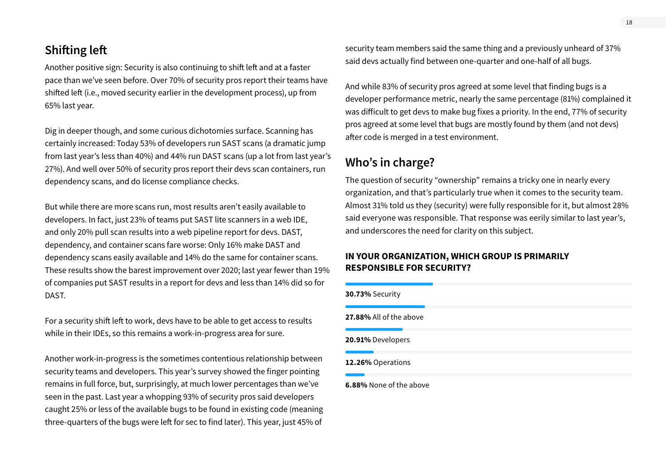# **Shifting left**

Another positive sign: Security is also continuing to shift left and at a faster pace than we've seen before. Over 70% of security pros report their teams have shifted left (i.e., moved security earlier in the development process), up from 65% last year.

Dig in deeper though, and some curious dichotomies surface. Scanning has certainly increased: Today 53% of developers run SAST scans (a dramatic jump from last year's less than 40%) and 44% run DAST scans (up a lot from last year's 27%). And well over 50% of security pros report their devs scan containers, run dependency scans, and do license compliance checks.

But while there are more scans run, most results aren't easily available to developers. In fact, just 23% of teams put SAST lite scanners in a web IDE, and only 20% pull scan results into a web pipeline report for devs. DAST, dependency, and container scans fare worse: Only 16% make DAST and dependency scans easily available and 14% do the same for container scans. These results show the barest improvement over 2020; last year fewer than 19% of companies put SAST results in a report for devs and less than 14% did so for DAST.

For a security shift left to work, devs have to be able to get access to results while in their IDEs, so this remains a work-in-progress area for sure.

Another work-in-progress is the sometimes contentious relationship between security teams and developers. This year's survey showed the finger pointing remains in full force, but, surprisingly, at much lower percentages than we've seen in the past. Last year a whopping 93% of security pros said developers caught 25% or less of the available bugs to be found in existing code (meaning three-quarters of the bugs were left for sec to find later). This year, just 45% of

security team members said the same thing and a previously unheard of 37% said devs actually find between one-quarter and one-half of all bugs.

And while 83% of security pros agreed at some level that finding bugs is a developer performance metric, nearly the same percentage (81%) complained it was difficult to get devs to make bug fixes a priority. In the end, 77% of security pros agreed at some level that bugs are mostly found by them (and not devs) after code is merged in a test environment.

# **Who's in charge?**

The question of security "ownership" remains a tricky one in nearly every organization, and that's particularly true when it comes to the security team. Almost 31% told us they (security) were fully responsible for it, but almost 28% said everyone was responsible. That response was eerily similar to last year's, and underscores the need for clarity on this subject.

# **IN YOUR ORGANIZATION, WHICH GROUP IS PRIMARILY RESPONSIBLE FOR SECURITY?**

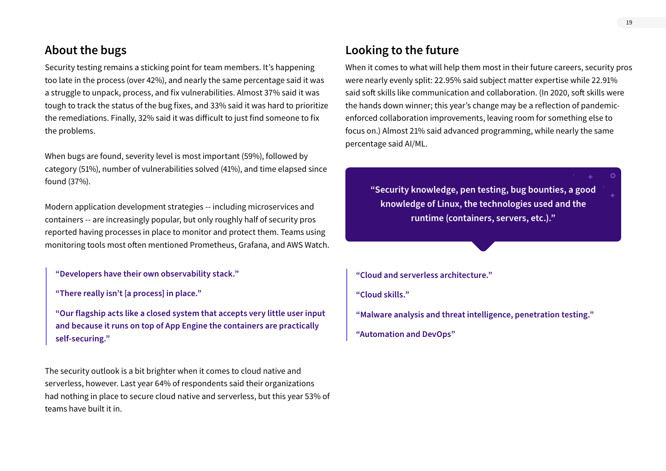# **About the bugs**

Security testing remains a sticking point for team members. It's happening too late in the process (over 42%), and nearly the same percentage said it was a struggle to unpack, process, and fix vulnerabilities. Almost 37% said it was tough to track the status of the bug fixes, and 33% said it was hard to prioritize the remediations. Finally, 32% said it was difficult to just find someone to fix the problems.

When bugs are found, severity level is most important (59%), followed by category (51%), number of vulnerabilities solved (41%), and time elapsed since found (37%).

Modern application development strategies -- including microservices and containers -- are increasingly popular, but only roughly half of security pros reported having processes in place to monitor and protect them. Teams using monitoring tools most often mentioned Prometheus, Grafana, and AWS Watch.

**"Developers have their own observability stack."**

**"There really isn't [a process] in place."**

**"Our flagship acts like a closed system that accepts very little user input and because it runs on top of App Engine the containers are practically self-securing."**

The security outlook is a bit brighter when it comes to cloud native and serverless, however. Last year 64% of respondents said their organizations had nothing in place to secure cloud native and serverless, but this year 53% of teams have built it in.

# **Looking to the future**

When it comes to what will help them most in their future careers, security pros were nearly evenly split: 22.95% said subject matter expertise while 22.91% said soft skills like communication and collaboration. (In 2020, soft skills were the hands down winner; this year's change may be a reflection of pandemicenforced collaboration improvements, leaving room for something else to focus on.) Almost 21% said advanced programming, while nearly the same percentage said AI/ML.

**"Security knowledge, pen testing, bug bounties, a good knowledge of Linux, the technologies used and the runtime (containers, servers, etc.)."**

**"Cloud and serverless architecture."**

**"Cloud skills."**

**"Malware analysis and threat intelligence, penetration testing."**

**"Automation and DevOps"**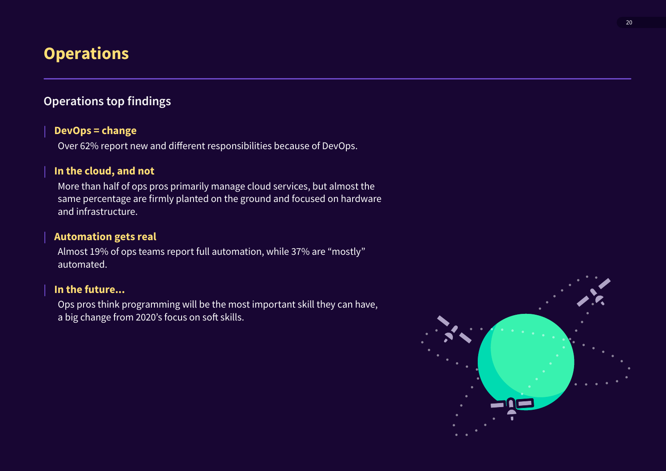# <span id="page-21-0"></span>**Operations**

# **Operations top findings**

# **DevOps = change**

Over 62% report new and different responsibilities because of DevOps.

# **In the cloud, and not**

More than half of ops pros primarily manage cloud services, but almost the same percentage are firmly planted on the ground and focused on hardware and infrastructure.

# **Automation gets real**

Almost 19% of ops teams report full automation, while 37% are "mostly" automated.

# **In the future...**

Ops pros think programming will be the most important skill they can have, a big change from 2020's focus on soft skills.

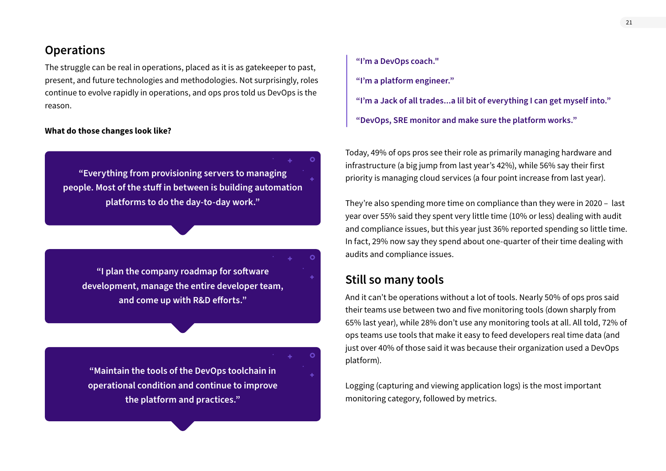# **Operations**

The struggle can be real in operations, placed as it is as gatekeeper to past, present, and future technologies and methodologies. Not surprisingly, roles continue to evolve rapidly in operations, and ops pros told us DevOps is the reason.

#### **What do those changes look like?**

**"Everything from provisioning servers to managing people. Most of the stuff in between is building automation platforms to do the day-to-day work."**

**"I plan the company roadmap for software development, manage the entire developer team, and come up with R&D efforts."**

**"Maintain the tools of the DevOps toolchain in operational condition and continue to improve the platform and practices."**

**"I'm a DevOps coach." "I'm a platform engineer." "I'm a Jack of all trades...a lil bit of everything I can get myself into." "DevOps, SRE monitor and make sure the platform works."**

Today, 49% of ops pros see their role as primarily managing hardware and infrastructure (a big jump from last year's 42%), while 56% say their first priority is managing cloud services (a four point increase from last year).

They're also spending more time on compliance than they were in 2020 – last year over 55% said they spent very little time (10% or less) dealing with audit and compliance issues, but this year just 36% reported spending so little time. In fact, 29% now say they spend about one-quarter of their time dealing with audits and compliance issues.

# **Still so many tools**

Ō

And it can't be operations without a lot of tools. Nearly 50% of ops pros said their teams use between two and five monitoring tools (down sharply from 65% last year), while 28% don't use any monitoring tools at all. All told, 72% of ops teams use tools that make it easy to feed developers real time data (and just over 40% of those said it was because their organization used a DevOps platform).

Logging (capturing and viewing application logs) is the most important monitoring category, followed by metrics.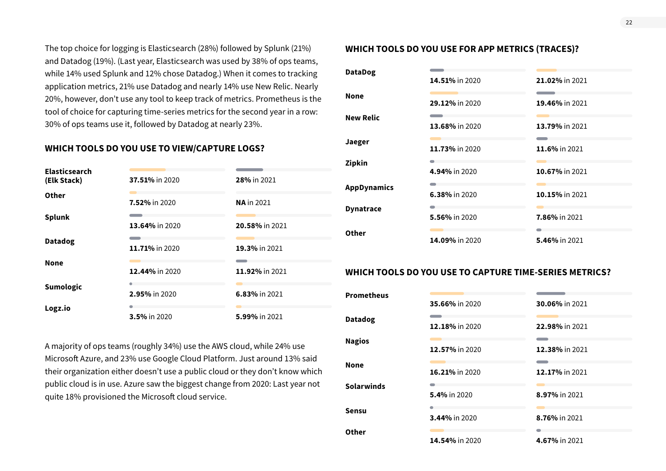The top choice for logging is Elasticsearch (28%) followed by Splunk (21%) and Datadog (19%). (Last year, Elasticsearch was used by 38% of ops teams, while 14% used Splunk and 12% chose Datadog.) When it comes to tracking application metrics, 21% use Datadog and nearly 14% use New Relic. Nearly 20%, however, don't use any tool to keep track of metrics. Prometheus is the tool of choice for capturing time-series metrics for the second year in a row: 30% of ops teams use it, followed by Datadog at nearly 23%.

## **WHICH TOOLS DO YOU USE TO VIEW/CAPTURE LOGS?**

| <b>Elasticsearch</b><br>(Elk Stack) | 37.51% in 2020        | 28% in 2021          |
|-------------------------------------|-----------------------|----------------------|
| Other                               | 7.52% in 2020         | <b>NA</b> in 2021    |
| <b>Splunk</b>                       | <b>13.64%</b> in 2020 | 20.58% in 2021       |
| <b>Datadog</b>                      | 11.71% in 2020        | 19.3% in 2021        |
| <b>None</b>                         | 12.44% in 2020        | 11.92% in 2021       |
| <b>Sumologic</b>                    | 2.95% in 2020         | <b>6.83% in 2021</b> |
| Logz.io                             | <b>3.5% in 2020</b>   | 5.99% in 2021        |

A majority of ops teams (roughly 34%) use the AWS cloud, while 24% use Microsoft Azure, and 23% use Google Cloud Platform. Just around 13% said their organization either doesn't use a public cloud or they don't know which public cloud is in use. Azure saw the biggest change from 2020: Last year not quite 18% provisioned the Microsoft cloud service.

## **WHICH TOOLS DO YOU USE FOR APP METRICS (TRACES)?**

| <b>DataDog</b>     | 14.51% in 2020 | 21.02% in 2021 |
|--------------------|----------------|----------------|
|                    |                |                |
| <b>None</b>        | 29.12% in 2020 | 19.46% in 2021 |
| <b>New Relic</b>   |                |                |
|                    | 13.68% in 2020 | 13.79% in 2021 |
| Jaeger             | 11.73% in 2020 | 11.6% in 2021  |
|                    |                |                |
| Zipkin             | 4.94% in 2020  | 10.67% in 2021 |
|                    |                |                |
| <b>AppDynamics</b> | 6.38% in 2020  | 10.15% in 2021 |
| <b>Dynatrace</b>   |                |                |
|                    | 5.56% in 2020  | 7.86% in 2021  |
| Other              |                |                |
|                    | 14.09% in 2020 | 5.46% in 2021  |
|                    |                |                |

### **WHICH TOOLS DO YOU USE TO CAPTURE TIME-SERIES METRICS?**

| <b>Prometheus</b> |                     |                |
|-------------------|---------------------|----------------|
|                   | 35.66% in 2020      | 30.06% in 2021 |
| <b>Datadog</b>    | 12.18% in 2020      | 22.98% in 2021 |
| <b>Nagios</b>     | 12.57% in 2020      | 12.38% in 2021 |
| <b>None</b>       | 16.21% in 2020      | 12.17% in 2021 |
| <b>Solarwinds</b> | <b>5.4% in 2020</b> | 8.97% in 2021  |
| <b>Sensu</b>      | 3.44% in 2020       | 8.76% in 2021  |
| Other             | 14.54% in 2020      | 4.67% in 2021  |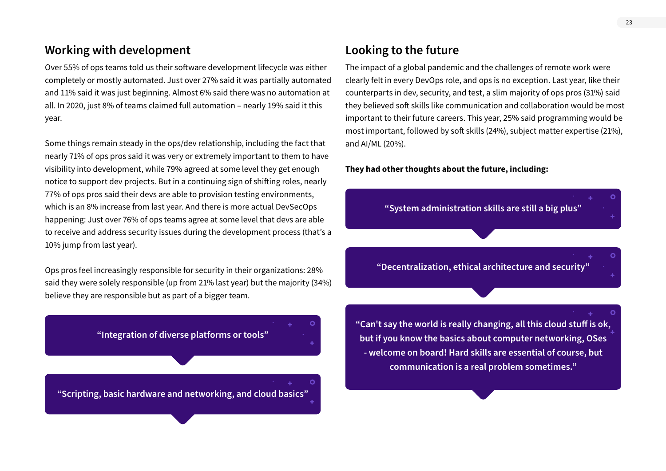# **Working with development**

Over 55% of ops teams told us their software development lifecycle was either completely or mostly automated. Just over 27% said it was partially automated and 11% said it was just beginning. Almost 6% said there was no automation at all. In 2020, just 8% of teams claimed full automation – nearly 19% said it this year.

Some things remain steady in the ops/dev relationship, including the fact that nearly 71% of ops pros said it was very or extremely important to them to have visibility into development, while 79% agreed at some level they get enough notice to support dev projects. But in a continuing sign of shifting roles, nearly 77% of ops pros said their devs are able to provision testing environments, which is an 8% increase from last year. And there is more actual DevSecOps happening: Just over 76% of ops teams agree at some level that devs are able to receive and address security issues during the development process (that's a 10% jump from last year).

Ops pros feel increasingly responsible for security in their organizations: 28% said they were solely responsible (up from 21% last year) but the majority (34%) believe they are responsible but as part of a bigger team.

**"Integration of diverse platforms or tools"**

**"Scripting, basic hardware and networking, and cloud basics"**

# **Looking to the future**

The impact of a global pandemic and the challenges of remote work were clearly felt in every DevOps role, and ops is no exception. Last year, like their counterparts in dev, security, and test, a slim majority of ops pros (31%) said they believed soft skills like communication and collaboration would be most important to their future careers. This year, 25% said programming would be most important, followed by soft skills (24%), subject matter expertise (21%), and AI/ML (20%).

#### **They had other thoughts about the future, including:**

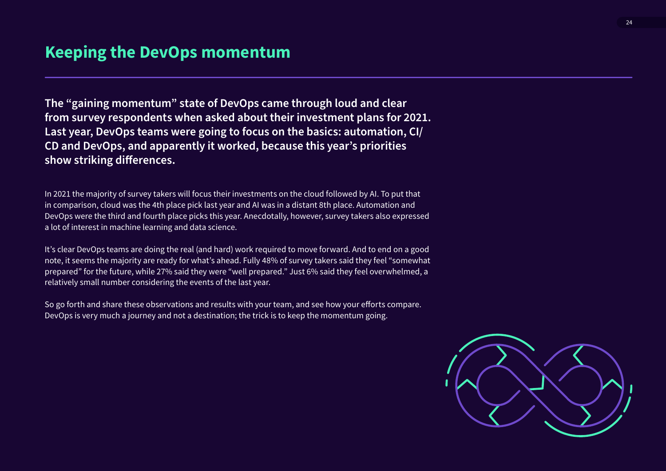**The "gaining momentum" state of DevOps came through loud and clear from survey respondents when asked about their investment plans for 2021. Last year, DevOps teams were going to focus on the basics: automation, CI/ CD and DevOps, and apparently it worked, because this year's priorities show striking differences.**

In 2021 the majority of survey takers will focus their investments on the cloud followed by AI. To put that in comparison, cloud was the 4th place pick last year and AI was in a distant 8th place. Automation and DevOps were the third and fourth place picks this year. Anecdotally, however, survey takers also expressed a lot of interest in machine learning and data science.

It's clear DevOps teams are doing the real (and hard) work required to move forward. And to end on a good note, it seems the majority are ready for what's ahead. Fully 48% of survey takers said they feel "somewhat prepared" for the future, while 27% said they were "well prepared." Just 6% said they feel overwhelmed, a relatively small number considering the events of the last year.

So go forth and share these observations and results with your team, and see how your efforts compare. DevOps is very much a journey and not a destination; the trick is to keep the momentum going.